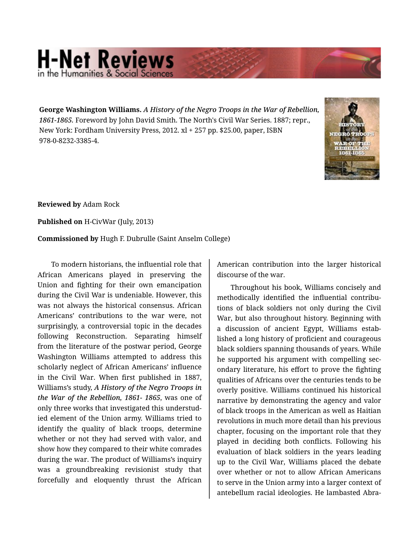## **H-Net Reviews** in the Humanities & Social Scien

**George Washington Williams.** *A History of the Negro Troops in the War of Rebellion, 1861-1865.* Foreword by John David Smith. The North's Civil War Series. 1887; repr., New York: Fordham University Press, 2012. xl + 257 pp. \$25.00, paper, ISBN 978-0-8232-3385-4.



**Reviewed by** Adam Rock

**Published on** H-CivWar (July, 2013)

**Commissioned by** Hugh F. Dubrulle (Saint Anselm College)

To modern historians, the influential role that African Americans played in preserving the Union and fighting for their own emancipation during the Civil War is undeniable. However, this was not always the historical consensus. African Americans' contributions to the war were, not surprisingly, a controversial topic in the decades following Reconstruction. Separating himself from the literature of the postwar period, George Washington Williams attempted to address this scholarly neglect of African Americans' influence in the Civil War. When first published in 1887, Williams's study, *A History of the Negro Troops in the War of the Rebellion, 1861- 1865*, was one of only three works that investigated this understud‐ ied element of the Union army. Williams tried to identify the quality of black troops, determine whether or not they had served with valor, and show how they compared to their white comrades during the war. The product of Williams's inquiry was a groundbreaking revisionist study that forcefully and eloquently thrust the African American contribution into the larger historical discourse of the war.

Throughout his book, Williams concisely and methodically identified the influential contributions of black soldiers not only during the Civil War, but also throughout history. Beginning with a discussion of ancient Egypt, Williams estab‐ lished a long history of proficient and courageous black soldiers spanning thousands of years. While he supported his argument with compelling sec‐ ondary literature, his effort to prove the fighting qualities of Africans over the centuries tends to be overly positive. Williams continued his historical narrative by demonstrating the agency and valor of black troops in the American as well as Haitian revolutions in much more detail than his previous chapter, focusing on the important role that they played in deciding both conflicts. Following his evaluation of black soldiers in the years leading up to the Civil War, Williams placed the debate over whether or not to allow African Americans to serve in the Union army into a larger context of antebellum racial ideologies. He lambasted Abra‐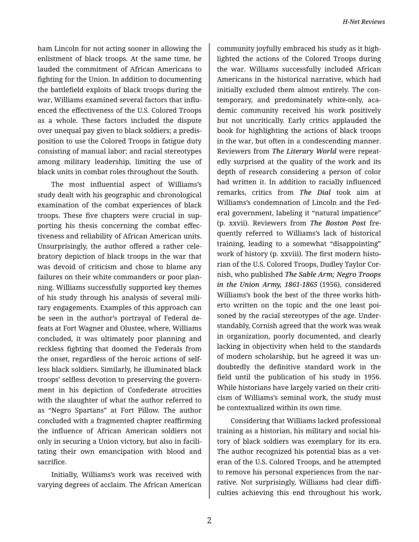ham Lincoln for not acting sooner in allowing the enlistment of black troops. At the same time, he lauded the commitment of African Americans to fighting for the Union. In addition to documenting the battlefield exploits of black troops during the war, Williams examined several factors that influ‐ enced the effectiveness of the U.S. Colored Troops as a whole. These factors included the dispute over unequal pay given to black soldiers; a predis‐ position to use the Colored Troops in fatigue duty consisting of manual labor; and racial stereotypes among military leadership, limiting the use of black units in combat roles throughout the South.

The most influential aspect of Williams's study dealt with his geographic and chronological examination of the combat experiences of black troops. These five chapters were crucial in sup‐ porting his thesis concerning the combat effec‐ tiveness and reliability of African American units. Unsurprisingly, the author offered a rather cele‐ bratory depiction of black troops in the war that was devoid of criticism and chose to blame any failures on their white commanders or poor plan‐ ning. Williams successfully supported key themes of his study through his analysis of several mili‐ tary engagements. Examples of this approach can be seen in the author's portrayal of Federal de‐ feats at Fort Wagner and Olustee, where, Williams concluded, it was ultimately poor planning and reckless fighting that doomed the Federals from the onset, regardless of the heroic actions of self‐ less black soldiers. Similarly, he illuminated black troops' selfless devotion to preserving the govern‐ ment in his depiction of Confederate atrocities with the slaughter of what the author referred to as "Negro Spartans" at Fort Pillow. The author concluded with a fragmented chapter reaffirming the influence of African American soldiers not only in securing a Union victory, but also in facili‐ tating their own emancipation with blood and sacrifice.

Initially, Williams's work was received with varying degrees of acclaim. The African American

community joyfully embraced his study as it high‐ lighted the actions of the Colored Troops during the war. Williams successfully included African Americans in the historical narrative, which had initially excluded them almost entirely. The con‐ temporary, and predominately white-only, aca‐ demic community received his work positively but not uncritically. Early critics applauded the book for highlighting the actions of black troops in the war, but often in a condescending manner. Reviewers from *The Literary World* were repeat‐ edly surprised at the quality of the work and its depth of research considering a person of color had written it. In addition to racially influenced remarks, critics from *The Dial* took aim at Williams's condemnation of Lincoln and the Fed‐ eral government, labeling it "natural impatience" (p. xxvii). Reviewers from *The Boston Post* fre‐ quently referred to Williams's lack of historical training, leading to a somewhat "disappointing" work of history (p. xxviii). The first modern histo‐ rian of the U.S. Colored Troops, Dudley Taylor Cor‐ nish, who published *The Sable Arm; Negro Troops in the Union Army, 1861-1865* (1956), considered Williams's book the best of the three works hith‐ erto written on the topic and the one least poi‐ soned by the racial stereotypes of the age. Under‐ standably, Cornish agreed that the work was weak in organization, poorly documented, and clearly lacking in objectivity when held to the standards of modern scholarship, but he agreed it was un‐ doubtedly the definitive standard work in the field until the publication of his study in 1956. While historians have largely varied on their criti‐ cism of Williams's seminal work, the study must be contextualized within its own time.

Considering that Williams lacked professional training as a historian, his military and social his‐ tory of black soldiers was exemplary for its era. The author recognized his potential bias as a vet‐ eran of the U.S. Colored Troops, and he attempted to remove his personal experiences from the nar‐ rative. Not surprisingly, Williams had clear diffi‐ culties achieving this end throughout his work,

2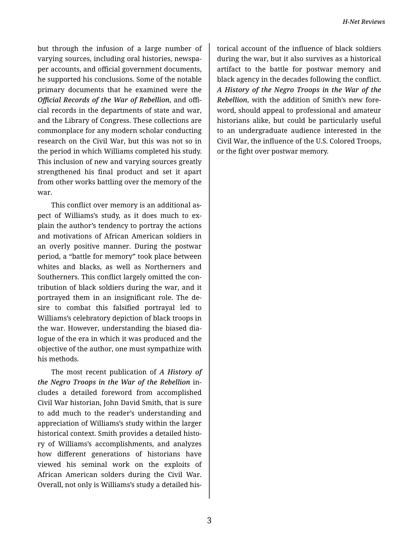but through the infusion of a large number of varying sources, including oral histories, newspa‐ per accounts, and official government documents, he supported his conclusions. Some of the notable primary documents that he examined were the *Official Records of the War of Rebellion*, and offi‐ cial records in the departments of state and war, and the Library of Congress. These collections are commonplace for any modern scholar conducting research on the Civil War, but this was not so in the period in which Williams completed his study. This inclusion of new and varying sources greatly strengthened his final product and set it apart from other works battling over the memory of the war.

This conflict over memory is an additional as‐ pect of Williams's study, as it does much to ex‐ plain the author's tendency to portray the actions and motivations of African American soldiers in an overly positive manner. During the postwar period, a "battle for memory" took place between whites and blacks, as well as Northerners and Southerners. This conflict largely omitted the con‐ tribution of black soldiers during the war, and it portrayed them in an insignificant role. The de‐ sire to combat this falsified portrayal led to Williams's celebratory depiction of black troops in the war. However, understanding the biased dia‐ logue of the era in which it was produced and the objective of the author, one must sympathize with his methods.

The most recent publication of *A History of the Negro Troops in the War of the Rebellion* in‐ cludes a detailed foreword from accomplished Civil War historian, John David Smith, that is sure to add much to the reader's understanding and appreciation of Williams's study within the larger historical context. Smith provides a detailed histo‐ ry of Williams's accomplishments, and analyzes how different generations of historians have viewed his seminal work on the exploits of African American solders during the Civil War. Overall, not only is Williams's study a detailed his‐

torical account of the influence of black soldiers during the war, but it also survives as a historical artifact to the battle for postwar memory and black agency in the decades following the conflict. *A History of the Negro Troops in the War of the Rebellion*, with the addition of Smith's new fore‐ word, should appeal to professional and amateur historians alike, but could be particularly useful to an undergraduate audience interested in the Civil War, the influence of the U.S. Colored Troops, or the fight over postwar memory.